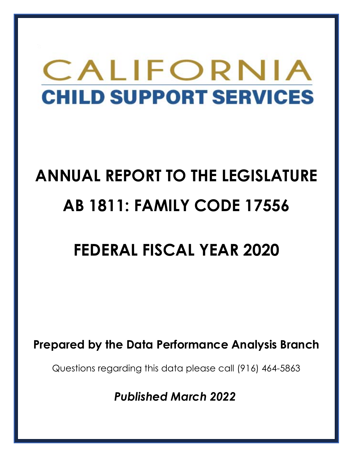# CALIFORNIA **CHILD SUPPORT SERVICES**

## **ANNUAL REPORT TO THE LEGISLATURE AB 1811: FAMILY CODE 17556**

## **FEDERAL FISCAL YEAR 2020**

**Prepared by the Data Performance Analysis Branch**

Questions regarding this data please call (916) 464-5863

*Published March 2022*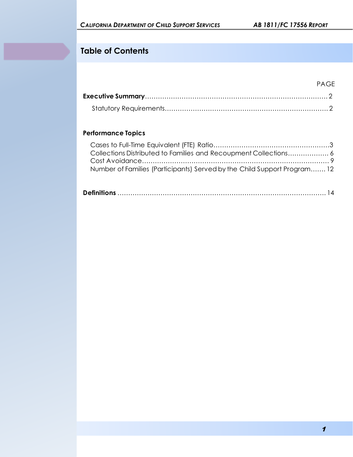## **Table of Contents**

#### PAGE

#### **Performance Topics**

| Number of Families (Participants) Served by the Child Support Program 12 |  |
|--------------------------------------------------------------------------|--|

|--|--|--|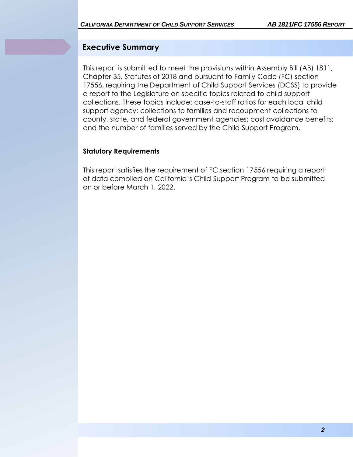### **Executive Summary**

This report is submitted to meet the provisions within Assembly Bill (AB) 1811, Chapter 35, Statutes of 2018 and pursuant to Family Code (FC) section 17556, requiring the Department of Child Support Services (DCSS) to provide a report to the Legislature on specific topics related to child support collections. These topics include: case-to-staff ratios for each local child support agency; collections to families and recoupment collections to county, state, and federal government agencies; cost avoidance benefits; and the number of families served by the Child Support Program.

#### **Statutory Requirements**

This report satisfies the requirement of FC section 17556 requiring a report of data compiled on California's Child Support Program to be submitted on or before March 1, 2022.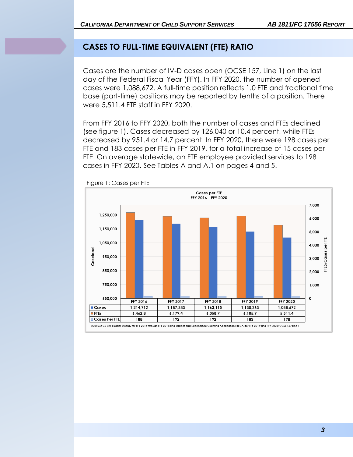## **CASES TO FULL-TIME EQUIVALENT (FTE) RATIO**

Cases are the number of IV-D cases open (OCSE 157, Line 1) on the last day of the Federal Fiscal Year (FFY). In FFY 2020, the number of opened cases were 1,088,672. A full-time position reflects 1.0 FTE and fractional time base (part-time) positions may be reported by tenths of a position. There were 5,511.4 FTE staff in FFY 2020.

From FFY 2016 to FFY 2020, both the number of cases and FTEs declined (see figure 1). Cases decreased by 126,040 or 10.4 percent, while FTEs decreased by 951.4 or 14.7 percent. In FFY 2020, there were 198 cases per FTE and 183 cases per FTE in FFY 2019, for a total increase of 15 cases per FTE. On average statewide, an FTE employee provided services to 198 cases in FFY 2020. See Tables A and A.1 on pages 4 and 5.



Figure 1: Cases per FTE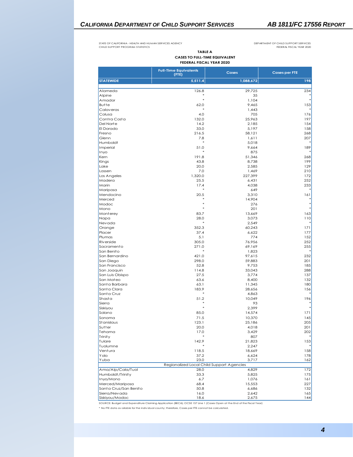#### *CALIFORNIA DEPARTMENT OF CHILD SUPPORT SERVICES AB 1811/FC 17556 REPORT*

STATE OF CALIFORNIA - HEALTH AND HUMAN SERVICES AGENCY CHILD SUPPORT PROGRAM STATISTICS

DEPARTMENT OF CHILD SUPPORT SERVICES FEDERAL FISCAL YEAR 2020

**TABLE A CASES TO FULL-TIME EQUIVALENT FEDERAL FISCAL YEAR 2020**

|                                                                                                   | <b>Full-Time Equivalents</b><br>(FTE)     | Cases                                                                                                                  | <b>Cases per FTE</b> |  |
|---------------------------------------------------------------------------------------------------|-------------------------------------------|------------------------------------------------------------------------------------------------------------------------|----------------------|--|
| <b>STATEWIDE</b>                                                                                  | 5,511.4                                   | 1,088,672                                                                                                              | 198                  |  |
| Alameda                                                                                           | 126.8                                     | 29,725                                                                                                                 | 234                  |  |
| Alpine                                                                                            |                                           | 35                                                                                                                     |                      |  |
| Amador                                                                                            | $\ast$                                    | 1,104                                                                                                                  |                      |  |
| <b>Butte</b>                                                                                      | 62.0                                      | 9,465                                                                                                                  | 153                  |  |
| Calaveras                                                                                         |                                           | 1,443                                                                                                                  |                      |  |
| Colusa                                                                                            | 4.0                                       | 705                                                                                                                    | 176                  |  |
| Contra Costa                                                                                      | 132.0                                     | 25,963                                                                                                                 | 197                  |  |
| Del Norte                                                                                         | 14.2                                      | 2,185                                                                                                                  | 154                  |  |
| El Dorado                                                                                         | 33.0                                      | 5,197                                                                                                                  | 158                  |  |
| Fresno<br>Glenn                                                                                   | 216.5                                     | 58,121                                                                                                                 | 268                  |  |
| <b>Humboldt</b>                                                                                   | 7.8                                       | 1,611                                                                                                                  | 207                  |  |
| Imperial                                                                                          | 51.0                                      | 5,018<br>9,664                                                                                                         | 189                  |  |
| Inyo                                                                                              |                                           | 875                                                                                                                    |                      |  |
| Kern                                                                                              | 191.8                                     | 51,346                                                                                                                 | 268                  |  |
| Kings                                                                                             | 43.8                                      | 8,738                                                                                                                  | 199                  |  |
| Lake                                                                                              | 20.0                                      | 2,585                                                                                                                  | 129                  |  |
| Lassen                                                                                            | 7.0                                       | 1,469                                                                                                                  | 210                  |  |
| Los Angeles                                                                                       | 1,320.0                                   | 227,399                                                                                                                | 172                  |  |
| Madera                                                                                            | 25.5                                      | 6,431                                                                                                                  | 252                  |  |
| Marin                                                                                             | 17.4                                      | 4,038                                                                                                                  | 233                  |  |
| Mariposa                                                                                          |                                           | 649                                                                                                                    |                      |  |
| Mendocino                                                                                         | 20.5                                      | 3,310                                                                                                                  | 161                  |  |
| Merced                                                                                            |                                           | 14,904                                                                                                                 |                      |  |
| Modoc                                                                                             | $\ast$                                    | 276                                                                                                                    |                      |  |
| Mono                                                                                              |                                           | 201                                                                                                                    |                      |  |
| Monterey                                                                                          | 83.7                                      | 13,669                                                                                                                 | 163                  |  |
| Napa                                                                                              | 28.0                                      | 3.073                                                                                                                  | 110                  |  |
| Nevada                                                                                            | $\ast$                                    | 2,549                                                                                                                  |                      |  |
| Orange                                                                                            | 352.3                                     | 60,243                                                                                                                 | 171                  |  |
| Placer                                                                                            | 37.4                                      | 6,622                                                                                                                  | 177                  |  |
| Plumas                                                                                            | 5.1                                       | 774                                                                                                                    | 152                  |  |
| <b>Riverside</b><br>Sacramento                                                                    | 305.0<br>271.0                            | 76,956<br>69,169                                                                                                       | 252<br>255           |  |
| San Benito                                                                                        |                                           | 1,823                                                                                                                  |                      |  |
| San Bernardino                                                                                    | 421.0                                     | 97,615                                                                                                                 | 232                  |  |
| San Diego                                                                                         | 298.0                                     | 59,883                                                                                                                 | 201                  |  |
| San Francisco                                                                                     | 52.8                                      | 9,753                                                                                                                  | 185                  |  |
| San Joaquin                                                                                       | 114.8                                     | 33,043                                                                                                                 | 288                  |  |
| San Luis Obispo                                                                                   | 27.5                                      | 3,774                                                                                                                  | 137                  |  |
| San Mateo                                                                                         | 63.6                                      | 8,400                                                                                                                  | 132                  |  |
| Santa Barbara                                                                                     | 63.1                                      | 11,345                                                                                                                 | 180                  |  |
| Santa Clara                                                                                       | 183.9                                     | 28,656                                                                                                                 | 156                  |  |
| Santa Cruz                                                                                        |                                           | 4,863                                                                                                                  |                      |  |
| Shasta                                                                                            | 51.2                                      | 10,049                                                                                                                 | 196                  |  |
| Sierra                                                                                            |                                           | 93                                                                                                                     |                      |  |
| Siskiyou                                                                                          |                                           | 2,399                                                                                                                  |                      |  |
| Solano                                                                                            | 85.0                                      | 14,574                                                                                                                 | 171                  |  |
| Sonoma                                                                                            | 71.5                                      | 10,370                                                                                                                 | 145                  |  |
| St anislaus                                                                                       | 123.1                                     | 25,186                                                                                                                 | 205                  |  |
| Sutter                                                                                            | 20.0                                      | 4,018                                                                                                                  | 201                  |  |
| Tehama<br>Trinity                                                                                 | 17.0                                      | 3,429<br>807                                                                                                           | 202                  |  |
| Tulare                                                                                            | 142.9                                     | 21,823                                                                                                                 | 153                  |  |
| Tuolumne                                                                                          |                                           | 2,247                                                                                                                  |                      |  |
| Ventura                                                                                           | 118.5                                     | 18,669                                                                                                                 | 158                  |  |
| Y olo                                                                                             | 37.2                                      | 6,624                                                                                                                  | 178                  |  |
| Yuba                                                                                              | 23.0                                      | 3,717                                                                                                                  | 162                  |  |
|                                                                                                   | Regionalized Local Child Support Agencies |                                                                                                                        |                      |  |
| Ama/Alp/Cala/Tuol                                                                                 | 28.0                                      | 4,829                                                                                                                  | 172                  |  |
| Humboldt/Trinity                                                                                  | 33.3                                      | 5,825                                                                                                                  | 175                  |  |
| Inyo/Mono                                                                                         | 6.7                                       | 1,076                                                                                                                  | 161                  |  |
| Merced/Mariposa                                                                                   | 68.4                                      | 15,553                                                                                                                 | 227                  |  |
| Santa Cruz/San Benito                                                                             | 50.8                                      | 6,686                                                                                                                  | 132                  |  |
| Sierra/Nevada                                                                                     | 16.0                                      | 2,642                                                                                                                  | 165                  |  |
| Siskiyou/Modoc                                                                                    | 18.6                                      | 2,675                                                                                                                  | 144                  |  |
|                                                                                                   |                                           | SOURCE: Budget and Expenditure Claiming Application (BECA); OCSE 157 Line 1 (Cases Open at the End of the Fiscal Year) |                      |  |
| * No FTE data available for the individual county; therefore, Cases per FTE cannot be calculated. |                                           |                                                                                                                        |                      |  |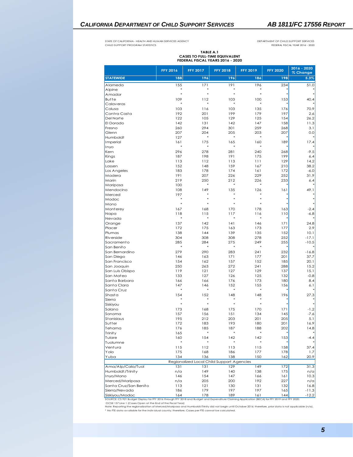#### *CALIFORNIA DEPARTMENT OF CHILD SUPPORT SERVICES AB 1811/FC 17556 REPORT*

STATE OF CALIFORNIA - HEALTH AND HUMAN SERVICES AGENCY CHILD SUPPORT PROGRAM STATISTICS

DEPARTMENT OF CHILD SUPPORT SERVICES FEDERAL FISCAL YEAR 2016 - 2020

## **TABLE A.1 CASES TO FULL-TIME EQUIVALENT FEDERAL FISCAL YEARS 2016 - 2020**

|                                                                                                                                                                                                                                                                                                                                 | <b>FFY 2016</b> | <b>FFY 2017</b> | <b>FFY 2018</b>                           | <b>FFY 2019</b> | <b>FFY 2020</b> | 2016 - 2020<br>% Change |
|---------------------------------------------------------------------------------------------------------------------------------------------------------------------------------------------------------------------------------------------------------------------------------------------------------------------------------|-----------------|-----------------|-------------------------------------------|-----------------|-----------------|-------------------------|
| <b>STATEWIDE</b>                                                                                                                                                                                                                                                                                                                | 188             | 196             | 196                                       | 186             | 198             | 5.3%                    |
| Alameda                                                                                                                                                                                                                                                                                                                         | 155             | 171             | 191                                       | 196             | 234             | 51.0                    |
| Alpine                                                                                                                                                                                                                                                                                                                          | $\ast$          | $\ast$          | $\ast$                                    | *               |                 |                         |
| Amador                                                                                                                                                                                                                                                                                                                          | $\ast$          | $\ast$          | $\ast$                                    | $\ast$          |                 |                         |
| Butte                                                                                                                                                                                                                                                                                                                           | 109             | 112             | 103                                       | 100             | 153             | 40.4                    |
| Calaveras                                                                                                                                                                                                                                                                                                                       | $\ast$          | ×               | $\ast$                                    | $\ast$          |                 |                         |
| Colusa                                                                                                                                                                                                                                                                                                                          | 103             | 116             | 103                                       | 135             | 176             | 70.9                    |
| Contra Costa                                                                                                                                                                                                                                                                                                                    | 192             | 201             | 199                                       | 179             | 197             | 2.6                     |
| Del Norte                                                                                                                                                                                                                                                                                                                       | 122             | 105             | 129                                       | 125             | 154             | 26.2                    |
| El Dorado<br>Fresno                                                                                                                                                                                                                                                                                                             | 142<br>260      | 131<br>294      | 142<br>301                                | 147<br>259      | 158             | 11.3<br>3.1             |
| Glenn                                                                                                                                                                                                                                                                                                                           | 207             | 204             | 205                                       | 203             | 268<br>207      | 0.0                     |
| Humboldt                                                                                                                                                                                                                                                                                                                        | 127             |                 | $\ast$                                    | $\ast$          |                 |                         |
| Imperial                                                                                                                                                                                                                                                                                                                        | 161             | 175             | 165                                       | 160             | 189             | 17.4                    |
| Inyo                                                                                                                                                                                                                                                                                                                            | $\ast$          | $\ast$          | *                                         |                 |                 |                         |
| Kern                                                                                                                                                                                                                                                                                                                            | 296             | 278             | 281                                       | 240             | 268             | $-9.5$                  |
| Kings                                                                                                                                                                                                                                                                                                                           | 187             | 198             | 191                                       | 175             | 199             | 6.4                     |
| Lake                                                                                                                                                                                                                                                                                                                            | 113             | 112             | 113                                       | 111             | 129             | 14.2                    |
| Lassen                                                                                                                                                                                                                                                                                                                          | 152             | 148             | 159                                       | 167             | 210             | 38.2                    |
| Los Angeles                                                                                                                                                                                                                                                                                                                     | 183             | 178             | 174                                       | 161             | 172             | $-6.0$                  |
| Madera                                                                                                                                                                                                                                                                                                                          | 191             | 207             | 226                                       | 229             | 252             | 31.9                    |
| Marin                                                                                                                                                                                                                                                                                                                           | 219             | 250             | 212                                       | 226             | 233             | 6.4                     |
| Mariposa                                                                                                                                                                                                                                                                                                                        | 100             | $\ast$          | $\ast$                                    |                 |                 |                         |
| Mendocino                                                                                                                                                                                                                                                                                                                       | 108             | 149             | 135                                       | 126             | 161             | 49.1                    |
| Merced<br>Modoc                                                                                                                                                                                                                                                                                                                 | 197<br>$\ast$   |                 | $\ast$                                    | $\ast$          |                 |                         |
| Mono                                                                                                                                                                                                                                                                                                                            | $\ast$          |                 |                                           |                 |                 |                         |
| Monterey                                                                                                                                                                                                                                                                                                                        | 167             | 168             | 170                                       | 178             | 163             | $-2.4$                  |
| Napa                                                                                                                                                                                                                                                                                                                            | 118             | 115             | 117                                       | 116             | 110             | $-6.8$                  |
| Nevada                                                                                                                                                                                                                                                                                                                          | $\ast$          | $\ast$          | *                                         | $\ast$          |                 |                         |
| Orange                                                                                                                                                                                                                                                                                                                          | 137             | 142             | 141                                       | 146             | 171             | 24.8                    |
| Placer                                                                                                                                                                                                                                                                                                                          | 172             | 175             | 163                                       | 173             | 177             | 2.9                     |
| Plumas                                                                                                                                                                                                                                                                                                                          | 138             | 144             | 139                                       | 135             | 152             | 10.1                    |
| Riverside                                                                                                                                                                                                                                                                                                                       | 304             | 308             | 308                                       | 278             | 252             | $-17.1$                 |
| Sacramento                                                                                                                                                                                                                                                                                                                      | 285             | 284             | 275                                       | 249             | 255             | $-10.5$                 |
| San Benito                                                                                                                                                                                                                                                                                                                      | $\ast$          | $\ast$          | *                                         | $\ast$          |                 |                         |
| San Bernardino                                                                                                                                                                                                                                                                                                                  | 279             | 290             | 283                                       | 241             | 232             | $-16.8$                 |
| San Diego<br>San Francisco                                                                                                                                                                                                                                                                                                      | 146<br>154      | 163<br>162      | 171<br>157                                | 177<br>152      | 201<br>185      | 37.7<br>20.1            |
| San Joaquin                                                                                                                                                                                                                                                                                                                     | 250             | 263             | 272                                       | 241             | 288             | 15.2                    |
| San Luis Obispo                                                                                                                                                                                                                                                                                                                 | 119             | 121             | 127                                       | 129             | 137             | 15.1                    |
| San Mateo                                                                                                                                                                                                                                                                                                                       | 133             | 127             | 126                                       | 125             | 132             | $-0.8$                  |
| Santa Barbara                                                                                                                                                                                                                                                                                                                   | 166             | 166             | 176                                       | 173             | 180             | 8.4                     |
| Santa Clara                                                                                                                                                                                                                                                                                                                     | 147             | 146             | 152                                       | 155             | 156             | 6.1                     |
| Santa Cruz                                                                                                                                                                                                                                                                                                                      | $\ast$          | $\ast$          | $\ast$                                    | $\ast$          |                 |                         |
| Shasta                                                                                                                                                                                                                                                                                                                          | 154             | 152             | 148                                       | 148             | 196             | 27.3                    |
| Sierra                                                                                                                                                                                                                                                                                                                          | $\ast$          |                 |                                           |                 |                 |                         |
| Siskiyou                                                                                                                                                                                                                                                                                                                        | $\ast$          | $\ast$          | *                                         | $\ast$          |                 |                         |
| Solano                                                                                                                                                                                                                                                                                                                          | 173             | 168             | 175                                       | 170             | 171             | -1.2                    |
| Sonoma                                                                                                                                                                                                                                                                                                                          | 157             | 156             | 151                                       | 134             | 145             | $-7.6$                  |
| Stanislaus                                                                                                                                                                                                                                                                                                                      | 195             | 212             | 203                                       | 201             | 205             | 5.1                     |
| Sutter<br>Tehama                                                                                                                                                                                                                                                                                                                | 172             | 183             | 193                                       | 180             | 201<br>202      | 16.9                    |
| Trinity                                                                                                                                                                                                                                                                                                                         | 176<br>165      | 185             | 187                                       | 188             |                 | 14.8                    |
| Tulare                                                                                                                                                                                                                                                                                                                          | 160             | 154             | 142                                       | 142             | 153             | -4.4                    |
| Tuolumne                                                                                                                                                                                                                                                                                                                        |                 |                 |                                           |                 |                 |                         |
| Ventura                                                                                                                                                                                                                                                                                                                         | 115             | 112             | 113                                       | 115             | 158             | 37.4                    |
| Yolo                                                                                                                                                                                                                                                                                                                            | 175             | 168             | 186                                       | 177             | 178             | 1.7                     |
| Yuba                                                                                                                                                                                                                                                                                                                            | 134             | 136             | 138                                       | 150             | 162             | 20.9                    |
|                                                                                                                                                                                                                                                                                                                                 |                 |                 | Regionalized Local Child Support Agencies |                 |                 |                         |
| Ama/Alp/Cala/Tuol                                                                                                                                                                                                                                                                                                               | 131             | 131             | 129                                       | 149             | 172             | 31.3                    |
| Humboldt/Trinity                                                                                                                                                                                                                                                                                                                | n/a             | 149             | 140                                       | 138             | 175             | n/a                     |
| Inyo/Mono                                                                                                                                                                                                                                                                                                                       | 146             | 154             | 147                                       | 166             | 161             | 10.3                    |
| Merced/Mariposa                                                                                                                                                                                                                                                                                                                 | n/a             | 205             | 200                                       | 192             | 227             | n/a                     |
| Santa Cruz/San Benito                                                                                                                                                                                                                                                                                                           | 113             | 121             | 130                                       | 131             | 132             | 16.8                    |
| Sierra/Nevada                                                                                                                                                                                                                                                                                                                   | 186             | 179             | 197                                       | 197             | 165             | $-11.3$                 |
| Siskiyou/Modoc<br>SOURCE: CS 921 Budget Display for FFY 2016 through FFY 2018 and Budget and Expenditure Claiming Application (BECA) for FFY 2019 and FFY 2020;                                                                                                                                                                 | 164             | 178             | 189                                       | 161             | 144             | $-12.2$                 |
| OCSE 157 Line 1 (Cases Open at the End of the Fiscal Year)<br>Note: Reporting the regionalization of Merced/Mariposa and Humboldt/Trinity did not begin until October 2016; therefore, prior data is not applicable (n/a).<br>* No FTE data available for the individual county; therefore, Cases per FTE cannot be calculated. |                 |                 |                                           |                 |                 |                         |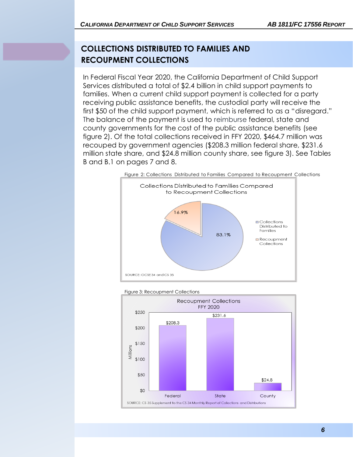## **COLLECTIONS DISTRIBUTED TO FAMILIES AND RECOUPMENT COLLECTIONS**

In Federal Fiscal Year 2020, the California Department of Child Support Services distributed a total of \$2.4 billion in child support payments to families. When a current child support payment is collected for a party receiving public assistance benefits, the custodial party will receive the first \$50 of the child support payment, which is referred to as a "disregard." The balance of the payment is used to reimburse federal, state and county governments for the cost of the public assistance benefits (see figure 2). Of the total collections received in FFY 2020, \$464.7 million was recouped by government agencies (\$208.3 million federal share, \$231.6 million state share, and \$24.8 million county share, see figure 3). See Tables B and B.1 on pages 7 and 8.





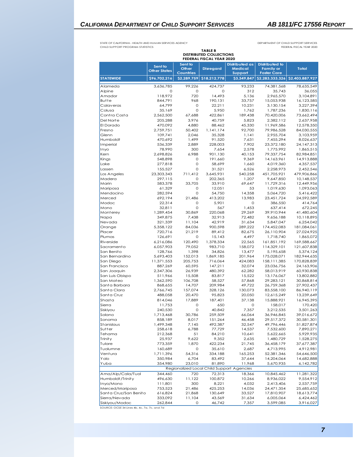STATE OF CALIFORNIA - HEALTH AND HUMAN SERVICES AGENCY CHILD SUPPORT PROGRAM STATISTICS

DEPARTMENT OF CHILD SUPPORT SERVICES FEDERAL FISCAL YEAR 2020

| <b>TABLE B</b><br><b>DISTRIBUTED COLLECTIONS</b> |                                |                                      |                          |                                                    |                                                                 |                           |
|--------------------------------------------------|--------------------------------|--------------------------------------|--------------------------|----------------------------------------------------|-----------------------------------------------------------------|---------------------------|
|                                                  |                                |                                      | FEDERAL FISCAL YEAR 2020 |                                                    |                                                                 |                           |
|                                                  | Sent to<br><b>Other States</b> | Sent to<br>Other<br><b>Countries</b> | <b>Disregard</b>         | <b>Distributed as</b><br><b>Medical</b><br>Support | <b>Distributed to</b><br><b>Family or</b><br><b>Foster Care</b> | <b>Total</b>              |
| <b>STATEWIDE</b>                                 | \$96,702,216                   | \$2,289,759                          | \$18,212,778             | \$3,349,847                                        | \$2,283,333,326                                                 | \$2,403,887,927           |
| Alameda                                          | 3,636,785                      | 99.226                               | 424,737                  | 93,233                                             | 74,381,568                                                      | 78,635,549                |
| Alpine                                           | $\circ$                        | O                                    | O                        | 312                                                | 35,743                                                          | 36,055                    |
| Amador<br>Butte                                  | 118,972<br>844,791             | 720<br>968                           | 14,493<br>190,131        | 5,136<br>33,757                                    | 2,965,570<br>15,053,938                                         | 3,104,891<br>16,123,585   |
| Calaveras                                        | 64,799                         | O                                    | 22,211                   | 10,231                                             | 3,130,154                                                       | 3,227,394                 |
| Colusa                                           | 35,169                         | O                                    | 5,950                    | 1,762                                              | 1,787,236                                                       | 1,830,116                 |
| Contra Costa                                     | 2,562,500                      | 67,688                               | 422,861                  | 189,438                                            | 70,420,006                                                      | 73,662,494                |
| Del Norte                                        | 205,288                        | 3.976                                | 40.759                   | 5,823                                              | 2,382,112                                                       | 2,637,958                 |
| El Dorado                                        | 470,092                        | 4,880                                | 88,462                   | 45,330                                             | 11,969,586                                                      | 12,578,350                |
| Fresno                                           | 2,759,751                      | 50,402                               | 1,141,174                | 92,700                                             | 79,986,528                                                      | 84,030,555                |
| Glenn<br>Humboldt                                | 109,741                        | 2,046<br>1,499                       | 35,328                   | 1,141                                              | 2,955,704                                                       | 3,103,959                 |
| Imperial                                         | 470,692<br>536,339             | 2,889                                | 91,520<br>228,003        | 7,631<br>7,902                                     | 7,455,294<br>23,372,180                                         | 8,026,637<br>24,147,313   |
| Inyo                                             | 78,990                         | 300                                  | 7,654                    | 2,578                                              | 1,775,992                                                       | 1,865,515                 |
| Kern                                             | 2,698,826                      | 6,988                                | 901,130                  | 40,153                                             | 79,337,754                                                      | 82,984,851                |
| Kings                                            | 548,898                        | O                                    | 191,660                  | 9,369                                              | 14,163,961                                                      | 14,913,888                |
| Lake                                             | 277,818                        | O                                    | 58,699                   | 1,660                                              | 4,019,360                                                       | 4,357,537                 |
| Lassen                                           | 155,527                        | $\circ$                              | 31,521                   | 6,526                                              | 2,258,973                                                       | 2,452,546                 |
| Los Angeles                                      | 23,303,343                     | 711,412                              | 3,645,931                | 540,258                                            | 451,705,921                                                     | 479,906,866               |
| Madera                                           | 297,115                        | O                                    | 202,365                  | 1.207                                              | 9,647,850                                                       | 10,148,537                |
| Marin<br>Mariposa                                | 583,378<br>61,329              | 33,705<br>O                          | 33,910<br>12,051         | 69,647<br>53                                       | 11,729,316<br>1,019,630                                         | 12,449,956<br>1,093,063   |
| Mendocino                                        | 282,594                        | O                                    | 54,750                   | 14,358                                             | 5,064,720                                                       | 5,416,422                 |
| Merced                                           | 692,194                        | 21,486                               | 413,202                  | 13,983                                             | 23,451,724                                                      | 24,592,589                |
| Modoc                                            | 22,314                         | O                                    | 5.901                    | O                                                  | 386,550                                                         | 414,764                   |
| Mono                                             | 32,811                         | 0                                    | 567                      | 1,453                                              | 637,414                                                         | 672,245                   |
| Monterey                                         | 1,289,454                      | 30,869                               | 220,068                  | 29,269                                             | 39,910,944                                                      | 41,480,604                |
| Napa                                             | 349,875                        | 7,438                                | 32,913                   | 72,482                                             | 9,656,188                                                       | 10,118,895                |
| Nevada                                           | 321,339                        | 11,104                               | 42,919                   | 31,634                                             | 5,847,047                                                       | 6,254,042                 |
| Orange<br>Placer                                 | 5,358,122<br>720,716           | 84,036<br>21,219                     | 900,598<br>89,412        | 289,222<br>82,675                                  | 174,452,083<br>26,110,904                                       | 181,084,061<br>27,024,925 |
| Plumas                                           | 126,691                        | 0                                    | 15,143                   | 4,497                                              | 1,718,740                                                       | 1,865,072                 |
| <b>Riverside</b>                                 | 6,216,086                      | 120,490                              | 1,378,334                | 22,565                                             | 161,851,192                                                     | 169,588,667               |
| Sacramento                                       | 6,057,903                      | 79,052                               | 983,710                  | 158,072                                            | 114,329,101                                                     | 121,607,838               |
| San Benito                                       | 128,766                        | 1,398                                | 34,826                   | 13,477                                             | 5,195,658                                                       | 5,374,124                 |
| San Bernardino                                   | 5,693,403                      | 152,013                              | 1,869,185                | 201,964                                            | 175,028,071                                                     | 182,944,635               |
| San Diego                                        | 11,371,553                     | 205,753                              | 716,064                  | 424,083                                            | 158, 111, 385                                                   | 170,828,839               |
| San Francisco                                    | 887,269                        | 60,595                               | 147,211                  | 32,074                                             | 23,036,756                                                      | 24,163,906                |
| San Joaquin<br>San Luis Obispo                   | 2,347,306<br>511,966           | 26,939<br>15,508                     | 480,392<br>83,817        | 62,282<br>15,522                                   | 58,013,919<br>13,176,067                                        | 60,930,838<br>13,802,882  |
| San Mateo                                        | 1,362,590                      | 106,708                              | 58,527                   | 57,868                                             | 29.283.121                                                      | 30.868.814                |
| Santa Barbara                                    | 868,655                        | 14,707                               | 209,984                  | 49,722                                             | 26,759,368                                                      | 27,902,437                |
| Santa Clara                                      | 2,766,745                      | 157,074                              | 328,126                  | 130,073                                            | 83,558,100                                                      | 86,940,119                |
| Santa Cruz                                       | 488,058                        | 20,470                               | 95,823                   | 20,050                                             | 12,615,249                                                      | 13,239,649                |
| Shasta                                           | 814,046                        | 17,889                               | 187,401                  | 37,138                                             | 15,888,921                                                      | 16,945,395                |
| Sierra                                           | 11,753                         | 0                                    | 650                      | 0                                                  | 158,017                                                         | 170,420                   |
| Siskiyou                                         | 240,530                        | O                                    | 40,842                   | 7,357                                              | 3,212,535                                                       | 3,501,263                 |
| Solano<br>Sonoma                                 | 1,713,468<br>858,189           | 30,786<br>8,017                      | 259,509<br>151,264       | 66,064<br>46,458                                   | 36,946,845<br>29,517,372                                        | 39,016,672<br>30,581,301  |
| Stanislaus                                       | 1,499,348                      | 7,145                                | 492,387                  | 32,547                                             | 49,796,446                                                      | 51,827,874                |
| Sutter                                           | 258,618                        | 6,788                                | 77,729                   | 14,537                                             | 7,532,600                                                       | 7,890,271                 |
| Tehama                                           | 212,368                        | 51                                   | 84,210                   | 10,641                                             | 5,622,665                                                       | 5,929,935                 |
| Trinity                                          | 25,937                         | 9,622                                | 9,352                    | 2,635                                              | 1,480,729                                                       | 1,528,275                 |
| Tulare                                           | 773,359                        | 1,870                                | 422,234                  | 21,745                                             | 36,458,179                                                      | 37,677,387                |
| Tuolumne                                         | 160,689                        | O                                    | 35,610                   | 2,687                                              | 4,713,995                                                       | 4,912,981                 |
| Ventura                                          | 1,711,396                      | 54,316                               | 334,188                  | 165,253                                            | 52,381,346                                                      | 54,646,500                |
| Yolo<br>Yuba                                     | 350,984                        | 6,704                                | 83,492                   | 37,644<br>11,968                                   | 14,204,064                                                      | 14,682,888                |
|                                                  | 354,980                        | 23,010                               | 81,890                   | Regionalized Local Child Support Agencies          | 5,670,935                                                       | 6,142,782                 |
| Ama/Alp/Cala/Tuol                                | 344,460                        | 720                                  | 72,313                   | 18,366                                             | 10,845,462                                                      | 11,281,322                |
| Humboldt/Trinity                                 | 496,630                        | 11,122                               | 100,872                  | 10,266                                             | 8,936,022                                                       | 9,554,912                 |
| Inyo/Mono                                        | 111,801                        | 300                                  | 8,221                    | 4,032                                              | 2,413,406                                                       | 2,537,759                 |
| Merced/Mariposa                                  | 753,523                        | 21,486                               | 425,253                  | 14,036                                             | 24,471,354                                                      | 25,685,652                |
| Santa Cruz/San Benito                            | 616,824                        | 21,868                               | 130,649                  | 33,527                                             | 17,810,907                                                      | 18,613,774                |
| Sierra/Nevada                                    | 333,092                        | 11,104                               | 43,569                   | 31,634                                             | 6,005,064                                                       | 6,424,462                 |
| Siskiyou/Modoc                                   | 262,844                        | O                                    | 46,742                   | 7,357                                              | 3,599,085                                                       | 3,916,027                 |

SOURCE: OCSE 34 Lines 4b, 4c, 7a, 7c, and 7d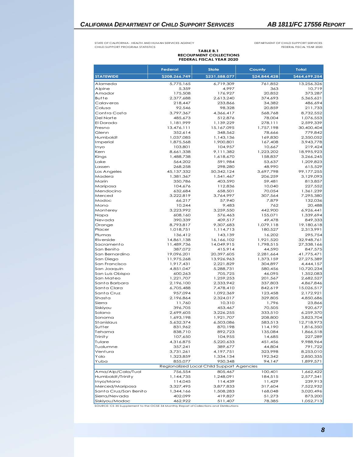STATE OF CALIFORNIA - HEALTH AND HUMAN SERVICES AGENCY CHILD SUPPORT PROGRAM STATISTICS

DEPARTMENT OF CHILD SUPPORT SERVICES FEDERAL FISCAL YEAR 2020

## **TABLE B.1 RECOUPMENT COLLECTIONS FEDERAL FISCAL YEAR 2020**

|                       | <b>Federal</b>      | <b>State</b>                              | County           | <b>Total</b>        |
|-----------------------|---------------------|-------------------------------------------|------------------|---------------------|
| <b>STATEWIDE</b>      | \$208,266,749       | \$231,588,077                             | \$24,844,428     | \$464,699,254       |
| Alameda               | 5,775,165           | 6,719,309                                 | 761,852          | 13,256,326          |
| Alpine                | 5,359               | 4,997                                     | 363              | 10,719              |
| Amador                | 175,508             | 176,927                                   | 20,852           | 373,287             |
| <b>Butte</b>          | 2,377,688           | 2,613,240                                 | 374,693          | 5,365,621           |
| Calaveras             | 218,447             | 233,866                                   | 34,382           | 486,694             |
| Colusa                | 92,546              | 98,328                                    | 20,859           | 211,733             |
| Contra Costa          | 3,797,367           | 4,366,417                                 | 568,768          | 8,732,552           |
| Del Norte             | 485,673             | 512,876                                   | 78,004           | 1,076,553           |
| El Dorado             | 1,181,999           | 1,139,229                                 | 278,111          | 2,599,339           |
| Fresno                | 13,476,111          | 15,167,095                                | 1,757,198        | 30,400,404          |
| Glenn                 | 352,614             | 348,562                                   | 78,666           | 779,842             |
| Humboldt              | 1,037,085           | 1,143,136                                 | 169,830          | 2,350,052           |
| Imperial              | 1,875,568           | 1,900,801                                 | 167,408          | 3,943,778           |
| Inyo                  | 103,801             | 104,957                                   | 10,667           | 219,424             |
| Kern                  | 8,661,338           | 9,111,382                                 | 1,223,202        | 18,995,923          |
| Kings                 | 1,488,738           | 1,618,670                                 | 158,837          | 3,266,245           |
| Lake                  | 564,202             | 591,984                                   | 53,637           | 1,209,823           |
| Lassen                | 268,258             | 298,280                                   | 48,990           | 615,529             |
| Los Angeles           | 45,137,332          | 50,342,124                                | 3,697,798        | 99,177,255          |
| Madera                | 1,381,367           | 1,541,467                                 | 206,259          | 3,129,093           |
| Marin<br>Mariposa     | 350,786<br>104,676  | 403,590<br>112,836                        | 59,481<br>10,040 | 813,857<br>227,552  |
| Mendocino             | 632,684             | 658,501                                   | 70,054           | 1,361,239           |
| Merced                | 3,222,819           | 3,764,997                                 | 307.564          | 7,295,380           |
| Modoc                 | 66,217              | 57,940                                    | 7,879            | 132,036             |
| Mono                  | 10,244              | 9,483                                     | 762              | 20,488              |
| Monterey              | 3,223,992           | 3,259,550                                 | 442,900          | 6,926,441           |
| Napa                  | 608,160             | 576,463                                   | 155,071          | 1,339,694           |
| Nevada                | 390,339             | 409,517                                   | 49,478           | 849,333             |
| Orange                | 8,793,817           | 9,307,683                                 | 1,079,118        | 19,180,618          |
| Placer                | 1,018,751           | 1,114,713                                 | 180,527          | 2,313,991           |
| Plumas                | 136,412             | 143,139                                   | 16,202           | 295,754             |
| <b>Riverside</b>      | 14,861,138          | 16,166,102                                | 1,921,520        | 32,948,761          |
| Sacramento            | 11,489,736          | 14,049,915                                | 1,798,515        | 27,338,166          |
| San Benito            | 387,072             | 415,914                                   | 44,590           | 847,575             |
| San Bernardino        | 19,096,201          | 20,397,605                                | 2,281,664        | 41,775,471          |
| San Diego             | 11,975,268          | 13,926,963                                | 1,373,159        | 27,275,389          |
| San Francisco         | 1,917,431           | 2,221,829                                 | 304,897          | 4,444,157           |
| San Joaquin           | 4,851,047           | 5,288,731                                 | 580,456          | 10,720,234          |
| San Luis Obispo       | 600,263             | 705,725                                   | 46,095           | 1,352,083           |
| San Mateo             | 1,221,707           | 1,259,253                                 | 201,567          | 2,682,527           |
| Santa Barbara         | 2,196,100           | 2,333,942                                 | 337,803          | 4,867,846           |
| Santa Clara           | 6,705,488           | 7,478,410                                 | 842,619          | 15,026,517          |
| Santa Cruz<br>Shasta  | 957,094             | 1,092,369                                 | 123,458          | 2,172,921           |
| Sierra                | 2,196,864<br>11,760 | 2,324,017<br>10,310                       | 329,805<br>1,796 | 4,850,686<br>23,866 |
| Siskiyou              | 396,705             | 453,467                                   | 70,505           | 920,677             |
| Solano                | 2,699,605           | 3,226,255                                 | 333,510          | 6,259,370           |
| Sonoma                | 1,693,198           | 1,921,707                                 | 208,800          | 3,823,704           |
| Stanislaus            | 5,632,374           | 6,503,086                                 | 583,513          | 12,718,973          |
| Sutter                | 831,962             | 870,198                                   | 114,190          | 1,816,350           |
| Tehama                | 838,710             | 892,723                                   | 135,084          | 1,866,518           |
| Trinity               | 107,650             | 104,955                                   | 14,685           | 227,289             |
| Tulare                | 4,316,875           | 5,220,633                                 | 451,456          | 9,988,964           |
| Tuolumne              | 357,241             | 389,677                                   | 44,804           | 791,722             |
| Ventura               | 3,731,261           | 4,197,751                                 | 323,998          | 8,253,010           |
| Yolo                  | 1,323,859           | 1,334,134                                 | 192,342          | 2,850,335           |
| Yuba                  | 855,077             | 950,348                                   | 94,147           | 1,899,571           |
|                       |                     | Regionalized Local Child Support Agencies |                  |                     |
| Ama/Alp/Cala/Tuol     | 756,554             | 805,467                                   | 100,401          | 1,662,422           |
| Humboldt/Trinity      | 1,144,735           | 1,248,091                                 | 184,515          | 2,577,341           |
| Inyo/Mono             | 114,045             | 114,439                                   | 11,429           | 239,913             |
| Merced/Mariposa       | 3,327,495           | 3,877,833                                 | 317,604          | 7,522,932           |
| Santa Cruz/San Benito | 1,344,166           | 1,508,283                                 | 168,048          | 3,020,496           |
| Sierra/Nevada         | 402,099             | 419,827                                   | 51,273           | 873,200             |
| Siskiyou/Modoc        | 462,922             | 511,407                                   | 78,385           | 1,052,713           |

SOURCE: CS 35 Supplement to the OCSE 34 Monthly Report of Collections and Distributions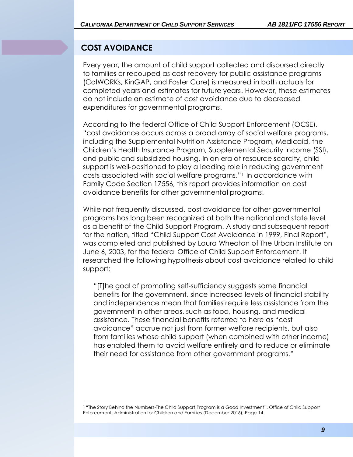## **COST AVOIDANCE**

Every year, the amount of child support collected and disbursed directly to families or recouped as cost recovery for public assistance programs (CalWORKs, KinGAP, and Foster Care) is measured in both actuals for completed years and estimates for future years. However, these estimates do not include an estimate of cost avoidance due to decreased expenditures for governmental programs.

According to the federal Office of Child Support Enforcement (OCSE), "cost avoidance occurs across a broad array of social welfare programs, including the Supplemental Nutrition Assistance Program, Medicaid, the Children's Health Insurance Program, Supplemental Security Income (SSI), and public and subsidized housing. In an era of resource scarcity, child support is well-positioned to play a leading role in reducing government costs associated with social welfare programs."1 In accordance with Family Code Section 17556, this report provides information on cost avoidance benefits for other governmental programs.

While not frequently discussed, cost avoidance for other governmental programs has long been recognized at both the national and state level as a benefit of the Child Support Program. A study and subsequent report for the nation, titled "Child Support Cost Avoidance in 1999, Final Report", was completed and published by Laura Wheaton of The Urban Institute on June 6, 2003, for the federal Office of Child Support Enforcement. It researched the following hypothesis about cost avoidance related to child support:

"[T]he goal of promoting self-sufficiency suggests some financial benefits for the government, since increased levels of financial stability and independence mean that families require less assistance from the government in other areas, such as food, housing, and medical assistance. These financial benefits referred to here as "cost avoidance" accrue not just from former welfare recipients, but also from families whose child support (when combined with other income) has enabled them to avoid welfare entirely and to reduce or eliminate their need for assistance from other government programs."

<sup>1</sup> "The Story Behind the Numbers-The Child Support Program is a Good Investment", Office of Child Support Enforcement, Administration for Children and Families (December 2016), Page 14.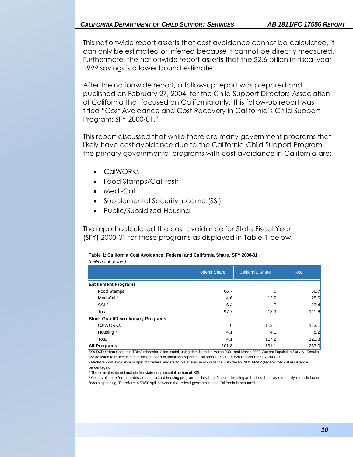This nationwide report asserts that cost avoidance cannot be calculated, it can only be estimated or inferred because it cannot be directly measured. Furthermore, the nationwide report asserts that the \$2.6 billion in fiscal year 1999 savings is a lower bound estimate.

After the nationwide report, a follow-up report was prepared and published on February 27, 2004, for the Child Support Directors Association of California that focused on California only. This follow-up report was titled "Cost Avoidance and Cost Recovery in California's Child Support Program: SFY 2000-01."

This report discussed that while there are many government programs that likely have cost avoidance due to the California Child Support Program, the primary governmental programs with cost avoidance in California are:

- CalWORKs
- Food Stamps/CalFresh
- Medi-Cal
- Supplemental Security Income (SSI)
- Public/Subsidized Housing

The report calculated the cost avoidance for State Fiscal Year (SFY) 2000-01 for these programs as displayed in Table 1 below.

**Table 1: California Cost Avoidance: Federal and California Share, SFY 2000-01**

| (millions of dollars)                     |                      |                         |              |  |  |  |
|-------------------------------------------|----------------------|-------------------------|--------------|--|--|--|
|                                           | <b>Federal Share</b> | <b>California Share</b> | <b>Total</b> |  |  |  |
| <b>Entitlement Programs</b>               |                      |                         |              |  |  |  |
| Food Stamps                               | 66.7                 | 0                       | 66.7         |  |  |  |
| Medi-Cal <sup>1</sup>                     | 14.6<br>13.9         |                         | 28.6         |  |  |  |
| SSI <sup>2</sup>                          | 16.4                 |                         | 16.4         |  |  |  |
| Total                                     | 97.7                 | 13.9                    | 111.6        |  |  |  |
| <b>Block Grant/Discretionary Programs</b> |                      |                         |              |  |  |  |
| <b>CalWORKs</b>                           | $\mathbf 0$          | 113.1                   | 113.1        |  |  |  |
| Housing <sup>3</sup>                      | 4.1                  | 4.1                     | 8.2          |  |  |  |
| Total                                     | 4.1                  | 117.2                   | 121.3        |  |  |  |
| <b>All Programs</b>                       | 101.8                | 131.1                   | 233.0        |  |  |  |

SOURCE: Urban Institute's TRIM3 microsimulation model, using data from the March 2001 and March 2002 Current Population Survey. Results are adjusted to reflect levels of child support distributions report in California's CS 800 & 820 reports for SFY 2000-01.

<sup>1</sup> Medi-Cal cost avoidance is split into federal and California shares in accordance w ith the FY2001 FMAP (federal medical assistance percentage). are agisted to renect levels of child support distributions report in californias CS 600 & 620 reports for SFT 2000-01.<br>Parcentage).<br><sup>2</sup> The estimates do not include the state supplemental portion of SSI.<br><sup>2</sup> The estimates

² The estimates do not include the state supplemental portion of SSI.

Fivedi-Car cost avoidance is split into rederal and California shares in accordance with the F1200 FR<br>Pre estimates do not include the state supplemental portion of SSI.<br><sup>3</sup> Cost avoidance for the public and subsidized hou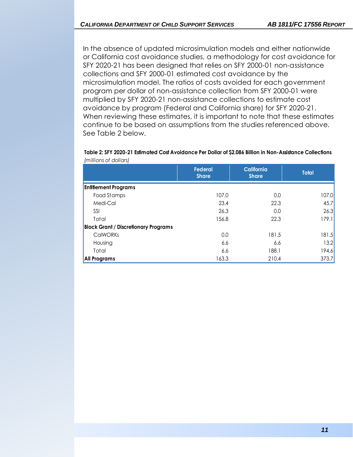In the absence of updated microsimulation models and either nationwide or California cost avoidance studies, a methodology for cost avoidance for SFY 2020-21 has been designed that relies on SFY 2000-01 non-assistance collections and SFY 2000-01 estimated cost avoidance by the microsimulation model. The ratios of costs avoided for each government program per dollar of non-assistance collection from SFY 2000-01 were multiplied by SFY 2020-21 non-assistance collections to estimate cost avoidance by program (Federal and California share) for SFY 2020-21. When reviewing these estimates, it is important to note that these estimates continue to be based on assumptions from the studies referenced above. See Table 2 below.

#### **Table 2: SFY 2020-21 Estimated Cost Avoidance Per Dollar of \$2.086 Billion in Non-Assistance Collections** *(millions of dollars)*

|                                             | <b>Federal</b><br><b>Share</b> | <b>California</b><br><b>Share</b> | <b>Total</b> |
|---------------------------------------------|--------------------------------|-----------------------------------|--------------|
| <b>Entitlement Programs</b>                 |                                |                                   |              |
| Food Stamps                                 | 107.0                          | 0.0                               | 107.0        |
| Medi-Cal                                    | 23.4                           | 22.3                              | 45.7         |
| SSI                                         | 26.3                           | 0.0                               | 26.3         |
| Total                                       | 156.8                          | 22.3                              | 179.1        |
| <b>Block Grant / Discretionary Programs</b> |                                |                                   |              |
| <b>CalWORKs</b>                             | 0.0                            | 181.5                             | 181.5        |
| Housing                                     | 6.6                            | 6.6                               | 13.2         |
| Total                                       | 6.6                            | 188.1                             | 194.6        |
| All Programs                                | 163.3                          | 210.4                             | 373.7        |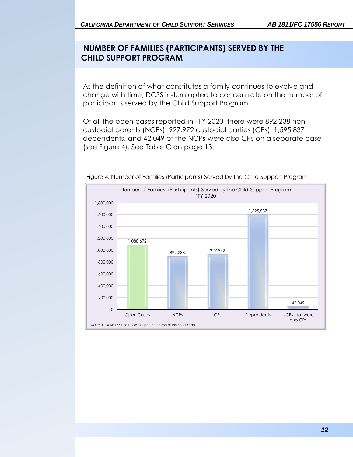### **NUMBER OF FAMILIES (PARTICIPANTS) SERVED BY THE CHILD SUPPORT PROGRAM**

As the definition of what constitutes a family continues to evolve and change with time, DCSS in-turn opted to concentrate on the number of participants served by the Child Support Program.

Of all the open cases reported in FFY 2020, there were 892,238 noncustodial parents (NCPs), 927,972 custodial parties (CPs), 1,595,837 dependents, and 42,049 of the NCPs were also CPs on a separate case (see Figure 4). See Table C on page 13.



Figure 4: Number of Families (Participants) Served by the Child Support Program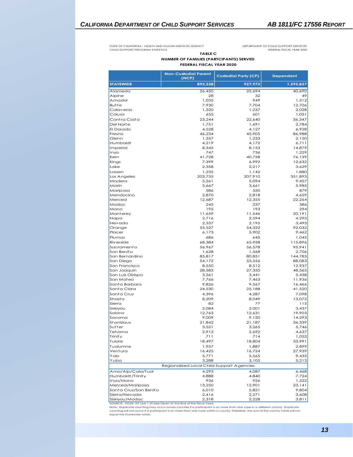STATE OF CALIFORNIA - HEALTH AND HUMAN SERVICES AGENCY CHILD SUPPORT PROGRAM STATISTICS

DEPARTMENT OF CHILD SUPPORT SERVICES FEDERAL FISCAL YEAR 2020

#### **NUMBER OF FAMILIES (PARTCIPANTS) SERVED FEDERAL FISCAL YEAR 2020 TABLE C**

|                                          | <b>Non-Custodial Parent</b><br>(NCP)                               | <b>Custodial Party (CP)</b> | <b>Dependent</b> |
|------------------------------------------|--------------------------------------------------------------------|-----------------------------|------------------|
| <b>STATEWIDE</b>                         | 892,238                                                            | 927,972                     | 1,595,837        |
| Alameda                                  | 26.450                                                             | 25,694                      | 40,690           |
| Alpine                                   | 28                                                                 | 32                          | 49               |
| Amador                                   | 1,035                                                              | 949                         | 1,512            |
| Butte<br>Calaveras                       | 7,930<br>1,320                                                     | 7,704<br>1,237              | 12,706           |
| Colusa                                   | 655                                                                | 601                         | 2,028<br>1,051   |
| Contra Costa                             | 23,244                                                             | 22,640                      | 36,347           |
| Del Norte                                | 1,751                                                              | 1,691                       | 2,784            |
| El Dorado                                | 4,528                                                              | 4,127                       | 6,928            |
| Fresno                                   | 46,234                                                             | 45,905                      | 86,988           |
| Glenn                                    | 1,357                                                              | 1,233                       | 2,150            |
| Humboldt                                 | 4,219                                                              | 4,172                       | 6,711            |
| Imperial                                 | 8,345                                                              | 8,153                       | 14,879           |
| Inyo                                     | 747                                                                | 736                         | 1,229            |
| Kern                                     | 41,728<br>7,399                                                    | 40,758<br>6,992             | 76,139           |
| Kings<br>Lake                            | 2,358                                                              | 2,217                       | 12,632<br>3,629  |
| Lassen                                   | 1,235                                                              | 1,142                       | 1,880            |
| Los Angeles                              | 203,735                                                            | 207,910                     | 351,893          |
| Madera                                   | 5,561                                                              | 5,094                       | 9,457            |
| Marin                                    | 3,667                                                              | 3.661                       | 5,985            |
| Mariposa                                 | 586                                                                | 550                         | 879              |
| Mendocino                                | 2,870                                                              | 2,818                       | 4,659            |
| Merced                                   | 12,687                                                             | 12,355                      | 22,264           |
| Modoc                                    | 245                                                                | 237                         | 386              |
| Mono                                     | 195                                                                | 193                         | 294              |
| Monterey                                 | 11,659                                                             | 11,546                      | 20,191           |
| Napa<br>Nevada                           | 2,716<br>2,337                                                     | 2,594<br>2,195              | 4,295<br>3,493   |
| Orange                                   | 55,527                                                             | 54,322                      | 92,032           |
| Placer                                   | 6,173                                                              | 5,902                       | 9,462            |
| Plumas                                   | 686                                                                | 645                         | 1,045            |
| <b>Riverside</b>                         | 68,384                                                             | 65,958                      | 115,896          |
| Sacramento                               | 56,967                                                             | 56,578                      | 95,941           |
| San Benito                               | 1,628                                                              | 1,568                       | 2,706            |
| San Bernardino                           | 85,817                                                             | 80,851                      | 144,783          |
| San Diego                                | 54,172                                                             | 53,556                      | 88,083           |
| San Francisco                            | 8,550                                                              | 8,512                       | 12,937           |
| San Joaquin<br>San Luis Obispo           | 28,583<br>3,561                                                    | 27,350<br>3,441             | 48,565<br>5,438  |
| San Mateo                                | 7,766                                                              | 7,463                       | 11,936           |
| Santa Barbara                            | 9,826                                                              | 9,567                       | 16,466           |
| Santa Clara                              | 24,530                                                             | 25,188                      | 41,520           |
| Santa Cruz                               | 4,396                                                              | 4,287                       | 7,098            |
| Shasta                                   | 8.209                                                              | 8,049                       | 13,072           |
| Sierra                                   | 82                                                                 | 77                          | 115              |
| Siskiyou                                 | 2,084                                                              | 2,001                       | 3,437            |
| Solano                                   | 12,763                                                             | 12,631                      | 19,903           |
| Sonoma                                   | 9,009                                                              | 9,120                       | 14,293           |
| <b>Stanislaus</b><br>Sutter              | 21,842<br>3.521                                                    | 21,187                      | 36,339           |
| Tehama                                   | 2,912                                                              | 3,265<br>2,692              | 5,746<br>4,637   |
| Trinity                                  | 711                                                                | 714                         | 1,052            |
| Tulare                                   | 18,497                                                             | 18,804                      | 33,991           |
| Tuolumne                                 | 1,957                                                              | 1,887                       | 2,899            |
| Ventura                                  | 16,425                                                             | 16,724                      | 27,939           |
| Yolo                                     | 5,771                                                              | 5,565                       | 9,435            |
| Yuba                                     | 3,288                                                              | 3,105                       | 5,213            |
|                                          | Regionalized Local Child Support Agencies                          |                             |                  |
| Ama/Alp/Cala/Tuol                        | 4,293                                                              | 4,087                       | 6,468            |
| Humboldt/Trinity                         | 4,888                                                              | 4,840                       | 7,724            |
| Inyo/Mono                                | 936                                                                | 926                         | 1,522<br>23,141  |
| Merced/Mariposa<br>Santa Cruz/San Benito | 13,250<br>6,010                                                    | 12,901<br>5,851             | 9,804            |
| Sierra/Nevada                            | 2,416                                                              | 2,271                       | 3,608            |
| Siskiyou/Modoc                           | 2,318                                                              | 2,228                       | 3,811            |
|                                          | SOURCE: OCSE 157 Line 1 (Cases Open at the End of the Fiscal Year) |                             |                  |

Note: Duplicate counting may occur across counties if a participant is on more than one case in a different county, Duplicate<br>counting will not occur if a participant is on more than one case within a county. Therefore, th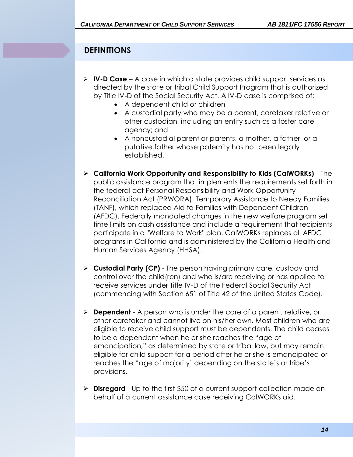## **DEFINITIONS**

- ➢ **IV-D Case** A case in which a state provides child support services as directed by the state or tribal Child Support Program that is authorized by Title IV-D of the Social Security Act. A IV-D case is comprised of:
	- A dependent child or children
	- A custodial party who may be a parent, caretaker relative or other custodian, including an entity such as a foster care agency; and
	- A noncustodial parent or parents, a mother, a father, or a putative father whose paternity has not been legally established.
- ➢ **California Work Opportunity and Responsibility to Kids (CalWORKs)** The public assistance program that implements the requirements set forth in the federal act Personal Responsibility and Work Opportunity Reconciliation Act (PRWORA). Temporary Assistance to Needy Families (TANF), which replaced Aid to Families with Dependent Children (AFDC). Federally mandated changes in the new welfare program set time limits on cash assistance and include a requirement that recipients participate in a "Welfare to Work" plan. CalWORKs replaces all AFDC programs in California and is administered by the California Health and Human Services Agency (HHSA).
- ➢ **Custodial Party (CP)** The person having primary care, custody and control over the child(ren) and who is/are receiving or has applied to receive services under Title IV-D of the Federal Social Security Act (commencing with Section 651 of Title 42 of the United States Code).
- ➢ **Dependent** A person who is under the care of a parent, relative, or other caretaker and cannot live on his/her own. Most children who are eligible to receive child support must be dependents. The child ceases to be a dependent when he or she reaches the "age of emancipation," as determined by state or tribal law, but may remain eligible for child support for a period after he or she is emancipated or reaches the "age of majority' depending on the state's or tribe's provisions.
- ➢ **Disregard** Up to the first \$50 of a current support collection made on behalf of a current assistance case receiving CalWORKs aid.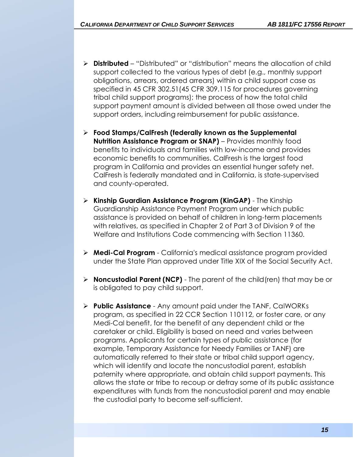- ➢ **Distributed** "Distributed" or "distribution" means the allocation of child support collected to the various types of debt (e.g., monthly support obligations, arrears, ordered arrears) within a child support case as specified in 45 CFR 302.51(45 CFR 309.115 for procedures governing tribal child support programs); the process of how the total child support payment amount is divided between all those owed under the support orders, including reimbursement for public assistance.
- ➢ **Food Stamps/CalFresh (federally known as the Supplemental Nutrition Assistance Program or SNAP)** – Provides monthly food benefits to individuals and families with low-income and provides economic benefits to communities. CalFresh is the largest food program in California and provides an essential hunger safety net. CalFresh is federally mandated and in California, is state-supervised and county-operated.
- ➢ **Kinship Guardian Assistance Program (KinGAP)** The Kinship Guardianship Assistance Payment Program under which public assistance is provided on behalf of children in long-term placements with relatives, as specified in Chapter 2 of Part 3 of Division 9 of the Welfare and Institutions Code commencing with Section 11360.
- ➢ **Medi-Cal Program** California's medical assistance program provided under the State Plan approved under Title XIX of the Social Security Act.
- ➢ **Noncustodial Parent (NCP)** The parent of the child(ren) that may be or is obligated to pay child support.
- ➢ **Public Assistance** Any amount paid under the TANF, CalWORKs program, as specified in 22 CCR Section 110112, or foster care, or any Medi-Cal benefit, for the benefit of any dependent child or the caretaker or child. Eligibility is based on need and varies between programs. Applicants for certain types of public assistance (for example, Temporary Assistance for Needy Families or TANF) are automatically referred to their state or tribal child support agency, which will identify and locate the noncustodial parent, establish paternity where appropriate, and obtain child support payments. This allows the state or tribe to recoup or defray some of its public assistance expenditures with funds from the noncustodial parent and may enable the custodial party to become self-sufficient.